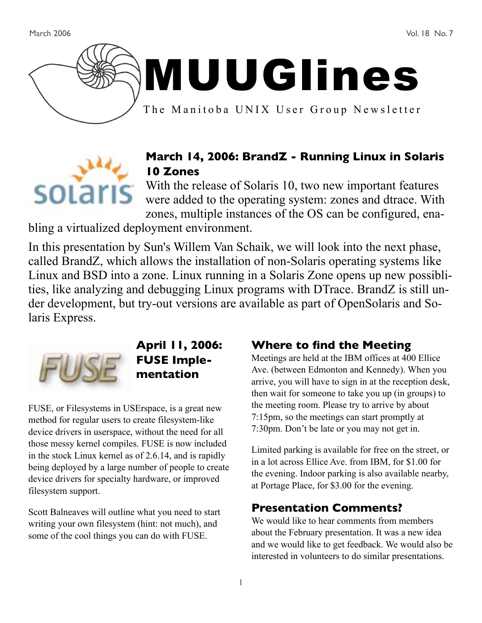March 2006 Vol. 18 No. 7





The Manitoba UNIX User Group Newsletter



# **March 14, 2006: BrandZ - Running Linux in Solaris 10 Zones**

With the release of Solaris 10, two new important features were added to the operating system: zones and dtrace. With zones, multiple instances of the OS can be configured, ena-

bling a virtualized deployment environment.

In this presentation by Sun's Willem Van Schaik, we will look into the next phase, called BrandZ, which allows the installation of non-Solaris operating systems like Linux and BSD into a zone. Linux running in a Solaris Zone opens up new possiblities, like analyzing and debugging Linux programs with DTrace. BrandZ is still under development, but try-out versions are available as part of OpenSolaris and Solaris Express.



**April 11, 2006: FUSE Implementation**

FUSE, or Filesystems in USErspace, is a great new method for regular users to create filesystem-like device drivers in userspace, without the need for all those messy kernel compiles. FUSE is now included in the stock Linux kernel as of 2.6.14, and is rapidly being deployed by a large number of people to create device drivers for specialty hardware, or improved filesystem support.

Scott Balneaves will outline what you need to start writing your own filesystem (hint: not much), and some of the cool things you can do with FUSE.

### **Where to find the Meeting**

Meetings are held at the IBM offices at 400 Ellice Ave. (between Edmonton and Kennedy). When you arrive, you will have to sign in at the reception desk, then wait for someone to take you up (in groups) to the meeting room. Please try to arrive by about 7:15pm, so the meetings can start promptly at 7:30pm. Don't be late or you may not get in.

Limited parking is available for free on the street, or in a lot across Ellice Ave. from IBM, for \$1.00 for the evening. Indoor parking is also available nearby, at Portage Place, for \$3.00 for the evening.

# **Presentation Comments?**

We would like to hear comments from members about the February presentation. It was a new idea and we would like to get feedback. We would also be interested in volunteers to do similar presentations.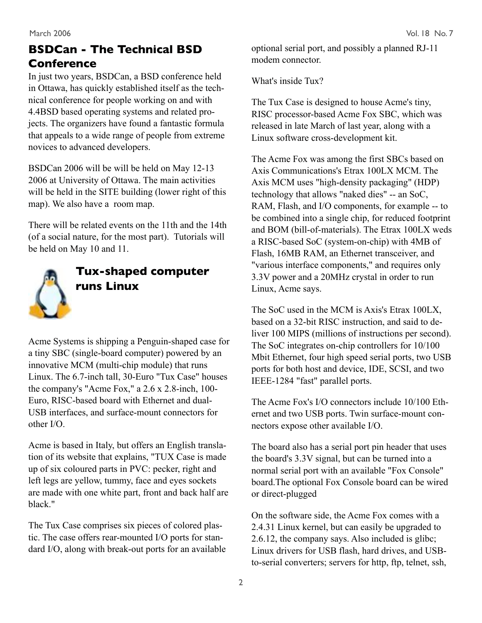# **BSDCan - The Technical BSD Conference**

In just two years, BSDCan, a BSD conference held in Ottawa, has quickly established itself as the technical conference for people working on and with 4.4BSD based operating systems and related projects. The organizers have found a fantastic formula that appeals to a wide range of people from extreme novices to advanced developers.

BSDCan 2006 will be will be held on May 12-13 2006 at University of Ottawa. The main activities will be held in the SITE building (lower right of this map). We also have a room map.

There will be related events on the 11th and the 14th (of a social nature, for the most part). Tutorials will be held on May 10 and 11.



# **Tux-shaped computer runs Linux**

Acme Systems is shipping a Penguin-shaped case for a tiny SBC (single-board computer) powered by an innovative MCM (multi-chip module) that runs Linux. The 6.7-inch tall, 30-Euro "Tux Case" houses the company's "Acme Fox," a 2.6 x 2.8-inch, 100- Euro, RISC-based board with Ethernet and dual-USB interfaces, and surface-mount connectors for other I/O.

Acme is based in Italy, but offers an English translation of its website that explains, "TUX Case is made up of six coloured parts in PVC: pecker, right and left legs are yellow, tummy, face and eyes sockets are made with one white part, front and back half are black."

The Tux Case comprises six pieces of colored plastic. The case offers rear-mounted I/O ports for standard I/O, along with break-out ports for an available optional serial port, and possibly a planned RJ-11 modem connector.

What's inside Tux?

The Tux Case is designed to house Acme's tiny, RISC processor-based Acme Fox SBC, which was released in late March of last year, along with a Linux software cross-development kit.

The Acme Fox was among the first SBCs based on Axis Communications's Etrax 100LX MCM. The Axis MCM uses "high-density packaging" (HDP) technology that allows "naked dies" -- an SoC, RAM, Flash, and I/O components, for example -- to be combined into a single chip, for reduced footprint and BOM (bill-of-materials). The Etrax 100LX weds a RISC-based SoC (system-on-chip) with 4MB of Flash, 16MB RAM, an Ethernet transceiver, and "various interface components," and requires only 3.3V power and a 20MHz crystal in order to run Linux, Acme says.

The SoC used in the MCM is Axis's Etrax 100LX, based on a 32-bit RISC instruction, and said to deliver 100 MIPS (millions of instructions per second). The SoC integrates on-chip controllers for 10/100 Mbit Ethernet, four high speed serial ports, two USB ports for both host and device, IDE, SCSI, and two IEEE-1284 "fast" parallel ports.

The Acme Fox's I/O connectors include 10/100 Ethernet and two USB ports. Twin surface-mount connectors expose other available I/O.

The board also has a serial port pin header that uses the board's 3.3V signal, but can be turned into a normal serial port with an available "Fox Console" board.The optional Fox Console board can be wired or direct-plugged

On the software side, the Acme Fox comes with a 2.4.31 Linux kernel, but can easily be upgraded to 2.6.12, the company says. Also included is glibc; Linux drivers for USB flash, hard drives, and USBto-serial converters; servers for http, ftp, telnet, ssh,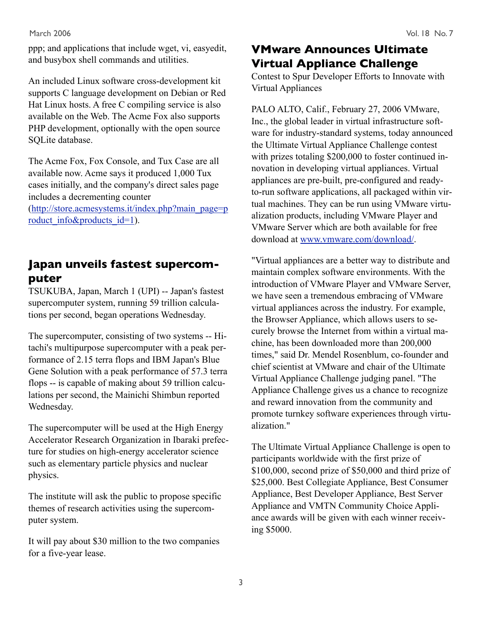ppp; and applications that include wget, vi, easyedit, and busybox shell commands and utilities.

An included Linux software cross-development kit supports C language development on Debian or Red Hat Linux hosts. A free C compiling service is also available on the Web. The Acme Fox also supports PHP development, optionally with the open source SQLite database.

The Acme Fox, Fox Console, and Tux Case are all available now. Acme says it produced 1,000 Tux cases initially, and the company's direct sales page includes a decrementing counter (http://store.acmesystems.it/index.php?main\_page=p roduct info&products id=1).

### **Japan unveils fastest supercomputer**

TSUKUBA, Japan, March 1 (UPI) -- Japan's fastest supercomputer system, running 59 trillion calculations per second, began operations Wednesday.

The supercomputer, consisting of two systems -- Hitachi's multipurpose supercomputer with a peak performance of 2.15 terra flops and IBM Japan's Blue Gene Solution with a peak performance of 57.3 terra flops -- is capable of making about 59 trillion calculations per second, the Mainichi Shimbun reported Wednesday.

The supercomputer will be used at the High Energy Accelerator Research Organization in Ibaraki prefecture for studies on high-energy accelerator science such as elementary particle physics and nuclear physics.

The institute will ask the public to propose specific themes of research activities using the supercomputer system.

It will pay about \$30 million to the two companies for a five-year lease.

# **VMware Announces Ultimate Virtual Appliance Challenge**

Contest to Spur Developer Efforts to Innovate with Virtual Appliances

PALO ALTO, Calif., February 27, 2006 VMware, Inc., the global leader in virtual infrastructure software for industry-standard systems, today announced the Ultimate Virtual Appliance Challenge contest with prizes totaling \$200,000 to foster continued innovation in developing virtual appliances. Virtual appliances are pre-built, pre-configured and readyto-run software applications, all packaged within virtual machines. They can be run using VMware virtualization products, including VMware Player and VMware Server which are both available for free download at www.vmware.com/download/.

"Virtual appliances are a better way to distribute and maintain complex software environments. With the introduction of VMware Player and VMware Server, we have seen a tremendous embracing of VMware virtual appliances across the industry. For example, the Browser Appliance, which allows users to securely browse the Internet from within a virtual machine, has been downloaded more than 200,000 times," said Dr. Mendel Rosenblum, co-founder and chief scientist at VMware and chair of the Ultimate Virtual Appliance Challenge judging panel. "The Appliance Challenge gives us a chance to recognize and reward innovation from the community and promote turnkey software experiences through virtualization."

The Ultimate Virtual Appliance Challenge is open to participants worldwide with the first prize of \$100,000, second prize of \$50,000 and third prize of \$25,000. Best Collegiate Appliance, Best Consumer Appliance, Best Developer Appliance, Best Server Appliance and VMTN Community Choice Appliance awards will be given with each winner receiving \$5000.